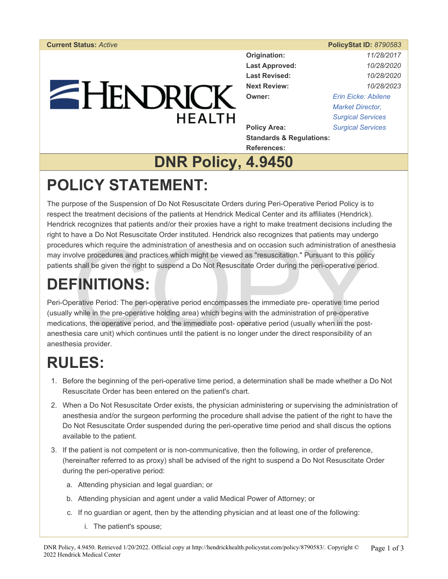# $=$  HENDRICK **HEALTH**

| <b>Current Status: Active</b> |                           | <b>PolicyStat ID: 8790583</b> |
|-------------------------------|---------------------------|-------------------------------|
|                               | Origination:              | 11/28/2017                    |
|                               | <b>Last Approved:</b>     | 10/28/2020                    |
|                               | <b>Last Revised:</b>      | 10/28/2020                    |
|                               | <b>Next Review:</b>       | 10/28/2023                    |
|                               | Owner:                    | <b>Erin Eicke: Abilene</b>    |
|                               |                           | <b>Market Director,</b>       |
| <b>HEALTH</b>                 |                           | <b>Surgical Services</b>      |
|                               | <b>Policy Area:</b>       | <b>Surgical Services</b>      |
|                               | Standards & Requisitions: |                               |

**Standards & Regulations: References:** 

#### **DNR Policy, 4.9450**

### **POLICY STATEMENT:**

The purpose of the Suspension of Do Not Resuscitate Orders during Peri-Operative Period Policy is to respect the treatment decisions of the patients at Hendrick Medical Center and its affiliates (Hendrick). Hendrick recognizes that patients and/or their proxies have a right to make treatment decisions including the right to have a Do Not Resuscitate Order instituted. Hendrick also recognizes that patients may undergo procedures which require the administration of anesthesia and on occasion such administration of anesthesia may involve procedures and practices which might be viewed as "resuscitation." Pursuant to this policy patients shall be given the right to suspend a Do Not Resuscitate Order during the peri-operative period.

### **DEFINITIONS:**

res which require the administration of anesthesia and on occasion such administration of anes<br>olve procedures and practices which might be viewed as "resuscitation." Pursuant to this policy<br>shall be given the right to sus Peri-Operative Period: The peri-operative period encompasses the immediate pre- operative time period (usually while in the pre-operative holding area) which begins with the administration of pre-operative medications, the operative period, and the immediate post- operative period (usually when in the postanesthesia care unit) which continues until the patient is no longer under the direct responsibility of an anesthesia provider.

## **RULES:**

- 1. Before the beginning of the peri-operative time period, a determination shall be made whether a Do Not Resuscitate Order has been entered on the patient's chart.
- 2. When a Do Not Resuscitate Order exists, the physician administering or supervising the administration of anesthesia and/or the surgeon performing the procedure shall advise the patient of the right to have the Do Not Resuscitate Order suspended during the peri-operative time period and shall discus the options available to the patient.
- 3. If the patient is not competent or is non-communicative, then the following, in order of preference, (hereinafter referred to as proxy) shall be advised of the right to suspend a Do Not Resuscitate Order during the peri-operative period:
	- a. Attending physician and legal guardian; or
	- b. Attending physician and agent under a valid Medical Power of Attorney; or
	- c. If no guardian or agent, then by the attending physician and at least one of the following:
		- i. The patient's spouse;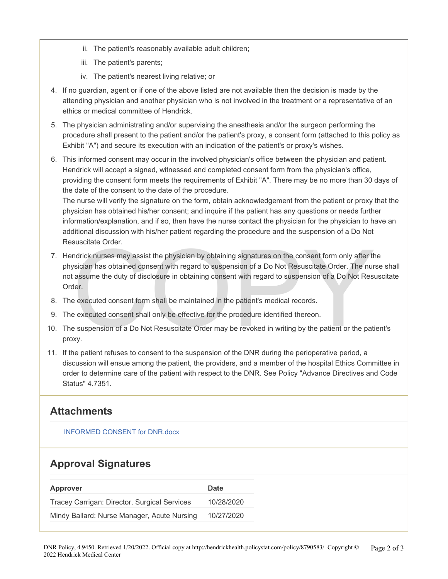- ii. The patient's reasonably available adult children;
- iii. The patient's parents;
- iv. The patient's nearest living relative; or
- 4. If no guardian, agent or if one of the above listed are not available then the decision is made by the attending physician and another physician who is not involved in the treatment or a representative of an ethics or medical committee of Hendrick.
- 5. The physician administrating and/or supervising the anesthesia and/or the surgeon performing the procedure shall present to the patient and/or the patient's proxy, a consent form (attached to this policy as Exhibit "A") and secure its execution with an indication of the patient's or proxy's wishes.
- 6. This informed consent may occur in the involved physician's office between the physician and patient. Hendrick will accept a signed, witnessed and completed consent form from the physician's office, providing the consent form meets the requirements of Exhibit "A". There may be no more than 30 days of the date of the consent to the date of the procedure.

The nurse will verify the signature on the form, obtain acknowledgement from the patient or proxy that the physician has obtained his/her consent; and inquire if the patient has any questions or needs further information/explanation, and if so, then have the nurse contact the physician for the physician to have an additional discussion with his/her patient regarding the procedure and the suspension of a Do Not Resuscitate Order.

- suscitate Order.<br>
Indrick nurses may assist the physician by obtaining signatures on the consent form only after the<br>
sician has obtained consent with regard to suspension of a Do Not Resuscitate Order. The nur<br>
assume the 7. Hendrick nurses may assist the physician by obtaining signatures on the consent form only after the physician has obtained consent with regard to suspension of a Do Not Resuscitate Order. The nurse shall not assume the duty of disclosure in obtaining consent with regard to suspension of a Do Not Resuscitate Order.
- 8. The executed consent form shall be maintained in the patient's medical records.
- 9. The executed consent shall only be effective for the procedure identified thereon.
- 10. The suspension of a Do Not Resuscitate Order may be revoked in writing by the patient or the patient's proxy.
- 11. If the patient refuses to consent to the suspension of the DNR during the perioperative period, a discussion will ensue among the patient, the providers, and a member of the hospital Ethics Committee in order to determine care of the patient with respect to the DNR. See Policy "Advance Directives and Code Status" 4.7351.

#### **Attachments**

[INFORMED CONSENT for DNR.docx](https://pstat-live-media.s3.amazonaws.com/attachments/public/442a116ea870037ebcbc717df5a30a45e3864e3c6168bc06758c991d/INFORMED%20CONSENT%20for%20DNR.docx)

#### **Approval Signatures**

| Approver                                     | Date       |
|----------------------------------------------|------------|
| Tracey Carrigan: Director, Surgical Services | 10/28/2020 |
| Mindy Ballard: Nurse Manager, Acute Nursing  | 10/27/2020 |